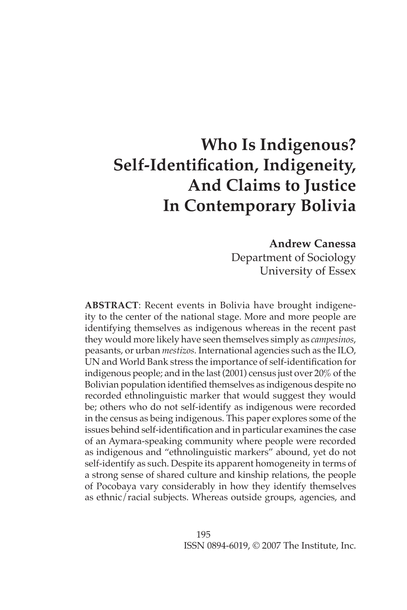# **Who Is Indigenous? Self-Identification, Indigeneity, And Claims to Justice In Contemporary Bolivia**

**Andrew Canessa** Department of Sociology University of Essex

**ABSTRACT**: Recent events in Bolivia have brought indigeneity to the center of the national stage. More and more people are identifying themselves as indigenous whereas in the recent past they would more likely have seen themselves simply as *campesinos*, peasants, or urban *mestizos.* International agencies such as the ILO, UN and World Bank stress the importance of self-identification for indigenous people; and in the last (2001) census just over 20% of the Bolivian population identified themselves as indigenous despite no recorded ethnolinguistic marker that would suggest they would be; others who do not self-identify as indigenous were recorded in the census as being indigenous. This paper explores some of the issues behind self-identification and in particular examines the case of an Aymara-speaking community where people were recorded as indigenous and "ethnolinguistic markers" abound, yet do not self-identify as such. Despite its apparent homogeneity in terms of a strong sense of shared culture and kinship relations, the people of Pocobaya vary considerably in how they identify themselves as ethnic/racial subjects. Whereas outside groups, agencies, and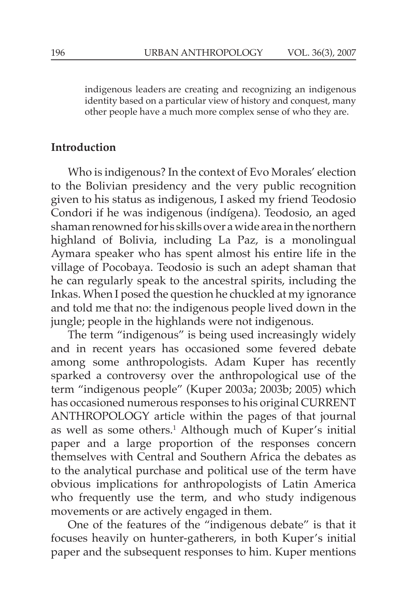indigenous leaders are creating and recognizing an indigenous identity based on a particular view of history and conquest, many other people have a much more complex sense of who they are.

## **Introduction**

Who is indigenous? In the context of Evo Morales' election to the Bolivian presidency and the very public recognition given to his status as indigenous, I asked my friend Teodosio Condori if he was indigenous (indígena). Teodosio, an aged shaman renowned for his skills over a wide area in the northern highland of Bolivia, including La Paz, is a monolingual Aymara speaker who has spent almost his entire life in the village of Pocobaya. Teodosio is such an adept shaman that he can regularly speak to the ancestral spirits, including the Inkas. When I posed the question he chuckled at my ignorance and told me that no: the indigenous people lived down in the jungle; people in the highlands were not indigenous.

The term "indigenous" is being used increasingly widely and in recent years has occasioned some fevered debate among some anthropologists. Adam Kuper has recently sparked a controversy over the anthropological use of the term "indigenous people" (Kuper 2003a; 2003b; 2005) which has occasioned numerous responses to his original CURRENT ANTHROPOLOGY article within the pages of that journal as well as some others.1 Although much of Kuper's initial paper and a large proportion of the responses concern themselves with Central and Southern Africa the debates as to the analytical purchase and political use of the term have obvious implications for anthropologists of Latin America who frequently use the term, and who study indigenous movements or are actively engaged in them.

One of the features of the "indigenous debate" is that it focuses heavily on hunter-gatherers, in both Kuper's initial paper and the subsequent responses to him. Kuper mentions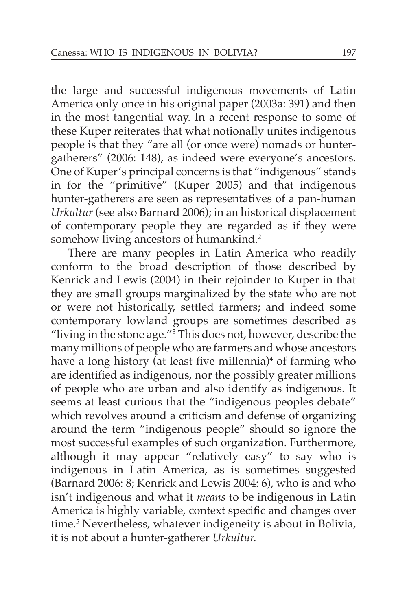the large and successful indigenous movements of Latin America only once in his original paper (2003a: 391) and then in the most tangential way. In a recent response to some of these Kuper reiterates that what notionally unites indigenous people is that they "are all (or once were) nomads or huntergatherers" (2006: 148), as indeed were everyone's ancestors. One of Kuper's principal concerns is that "indigenous" stands in for the "primitive" (Kuper 2005) and that indigenous hunter-gatherers are seen as representatives of a pan-human *Urkultur* (see also Barnard 2006); in an historical displacement of contemporary people they are regarded as if they were somehow living ancestors of humankind.<sup>2</sup>

There are many peoples in Latin America who readily conform to the broad description of those described by Kenrick and Lewis (2004) in their rejoinder to Kuper in that they are small groups marginalized by the state who are not or were not historically, settled farmers; and indeed some contemporary lowland groups are sometimes described as "living in the stone age."3 This does not, however, describe the many millions of people who are farmers and whose ancestors have a long history (at least five millennia)4 of farming who are identified as indigenous, nor the possibly greater millions of people who are urban and also identify as indigenous. It seems at least curious that the "indigenous peoples debate" which revolves around a criticism and defense of organizing around the term "indigenous people" should so ignore the most successful examples of such organization. Furthermore, although it may appear "relatively easy" to say who is indigenous in Latin America, as is sometimes suggested (Barnard 2006: 8; Kenrick and Lewis 2004: 6), who is and who isn't indigenous and what it *means* to be indigenous in Latin America is highly variable, context specific and changes over time.5 Nevertheless, whatever indigeneity is about in Bolivia, it is not about a hunter-gatherer *Urkultur.*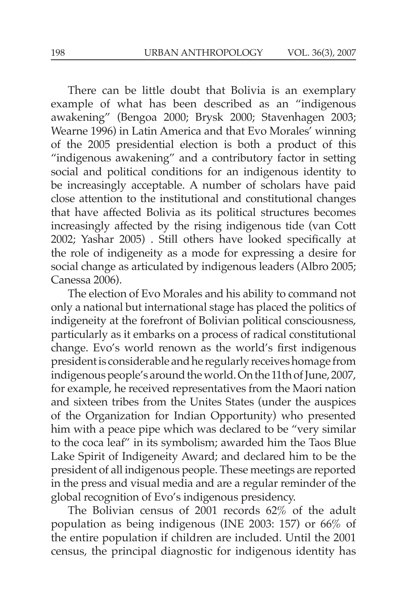There can be little doubt that Bolivia is an exemplary example of what has been described as an "indigenous awakening" (Bengoa 2000; Brysk 2000; Stavenhagen 2003; Wearne 1996) in Latin America and that Evo Morales' winning of the 2005 presidential election is both a product of this "indigenous awakening" and a contributory factor in setting social and political conditions for an indigenous identity to be increasingly acceptable. A number of scholars have paid close attention to the institutional and constitutional changes that have affected Bolivia as its political structures becomes increasingly affected by the rising indigenous tide (van Cott 2002; Yashar 2005) . Still others have looked specifically at the role of indigeneity as a mode for expressing a desire for social change as articulated by indigenous leaders (Albro 2005; Canessa 2006).

The election of Evo Morales and his ability to command not only a national but international stage has placed the politics of indigeneity at the forefront of Bolivian political consciousness, particularly as it embarks on a process of radical constitutional change. Evo's world renown as the world's first indigenous president is considerable and he regularly receives homage from indigenous people's around the world. On the 11th of June, 2007, for example, he received representatives from the Maori nation and sixteen tribes from the Unites States (under the auspices of the Organization for Indian Opportunity) who presented him with a peace pipe which was declared to be "very similar to the coca leaf" in its symbolism; awarded him the Taos Blue Lake Spirit of Indigeneity Award; and declared him to be the president of all indigenous people. These meetings are reported in the press and visual media and are a regular reminder of the global recognition of Evo's indigenous presidency.

The Bolivian census of 2001 records 62% of the adult population as being indigenous (INE 2003: 157) or 66% of the entire population if children are included. Until the 2001 census, the principal diagnostic for indigenous identity has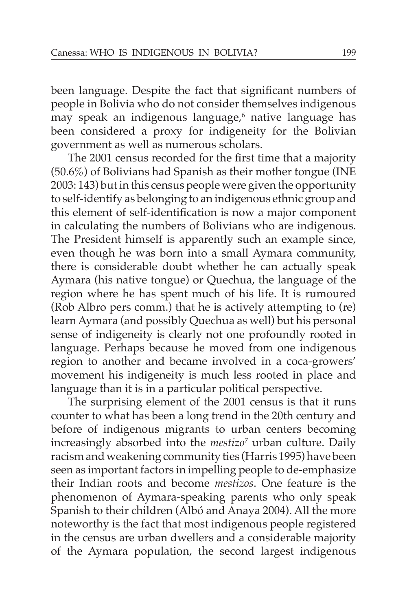been language. Despite the fact that significant numbers of people in Bolivia who do not consider themselves indigenous may speak an indigenous language,6 native language has been considered a proxy for indigeneity for the Bolivian government as well as numerous scholars.

The 2001 census recorded for the first time that a majority (50.6%) of Bolivians had Spanish as their mother tongue (INE 2003: 143) but in this census people were given the opportunity to self-identify as belonging to an indigenous ethnic group and this element of self-identification is now a major component in calculating the numbers of Bolivians who are indigenous. The President himself is apparently such an example since, even though he was born into a small Aymara community, there is considerable doubt whether he can actually speak Aymara (his native tongue) or Quechua, the language of the region where he has spent much of his life. It is rumoured (Rob Albro pers comm.) that he is actively attempting to (re) learn Aymara (and possibly Quechua as well) but his personal sense of indigeneity is clearly not one profoundly rooted in language. Perhaps because he moved from one indigenous region to another and became involved in a coca-growers' movement his indigeneity is much less rooted in place and language than it is in a particular political perspective.

The surprising element of the 2001 census is that it runs counter to what has been a long trend in the 20th century and before of indigenous migrants to urban centers becoming increasingly absorbed into the *mestizo*<sup>7</sup> urban culture. Daily racism and weakening community ties (Harris 1995) have been seen as important factors in impelling people to de-emphasize their Indian roots and become *mestizos*. One feature is the phenomenon of Aymara-speaking parents who only speak Spanish to their children (Albó and Anaya 2004). All the more noteworthy is the fact that most indigenous people registered in the census are urban dwellers and a considerable majority of the Aymara population, the second largest indigenous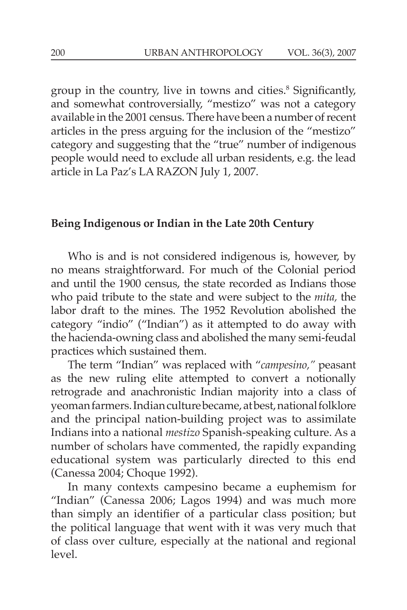group in the country, live in towns and cities.<sup>8</sup> Significantly, and somewhat controversially, "mestizo" was not a category available in the 2001 census. There have been a number of recent articles in the press arguing for the inclusion of the "mestizo" category and suggesting that the "true" number of indigenous people would need to exclude all urban residents, e.g. the lead article in La Paz's LA RAZON July 1, 2007.

## **Being Indigenous or Indian in the Late 20th Century**

Who is and is not considered indigenous is, however, by no means straightforward. For much of the Colonial period and until the 1900 census, the state recorded as Indians those who paid tribute to the state and were subject to the *mita,* the labor draft to the mines. The 1952 Revolution abolished the category "indio" ("Indian") as it attempted to do away with the hacienda-owning class and abolished the many semi-feudal practices which sustained them.

The term "Indian" was replaced with "*campesino,"* peasant as the new ruling elite attempted to convert a notionally retrograde and anachronistic Indian majority into a class of yeoman farmers. Indian culture became, at best, national folklore and the principal nation-building project was to assimilate Indians into a national *mestizo* Spanish-speaking culture. As a number of scholars have commented, the rapidly expanding educational system was particularly directed to this end (Canessa 2004; Choque 1992).

In many contexts campesino became a euphemism for "Indian" (Canessa 2006; Lagos 1994) and was much more than simply an identifier of a particular class position; but the political language that went with it was very much that of class over culture, especially at the national and regional level.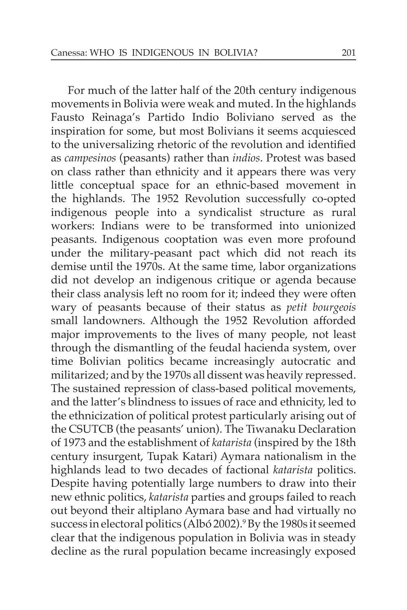For much of the latter half of the 20th century indigenous movements in Bolivia were weak and muted. In the highlands Fausto Reinaga's Partido Indio Boliviano served as the inspiration for some, but most Bolivians it seems acquiesced to the universalizing rhetoric of the revolution and identified as *campesinos* (peasants) rather than *indios*. Protest was based on class rather than ethnicity and it appears there was very little conceptual space for an ethnic-based movement in the highlands. The 1952 Revolution successfully co-opted indigenous people into a syndicalist structure as rural workers: Indians were to be transformed into unionized peasants. Indigenous cooptation was even more profound under the military-peasant pact which did not reach its demise until the 1970s. At the same time, labor organizations did not develop an indigenous critique or agenda because their class analysis left no room for it; indeed they were often wary of peasants because of their status as *petit bourgeois* small landowners. Although the 1952 Revolution afforded major improvements to the lives of many people, not least through the dismantling of the feudal hacienda system, over time Bolivian politics became increasingly autocratic and militarized; and by the 1970s all dissent was heavily repressed. The sustained repression of class-based political movements, and the latter's blindness to issues of race and ethnicity, led to the ethnicization of political protest particularly arising out of the CSUTCB (the peasants' union). The Tiwanaku Declaration of 1973 and the establishment of *katarista* (inspired by the 18th century insurgent, Tupak Katari) Aymara nationalism in the highlands lead to two decades of factional *katarista* politics. Despite having potentially large numbers to draw into their new ethnic politics, *katarista* parties and groups failed to reach out beyond their altiplano Aymara base and had virtually no success in electoral politics (Albó 2002).9 By the 1980s it seemed clear that the indigenous population in Bolivia was in steady decline as the rural population became increasingly exposed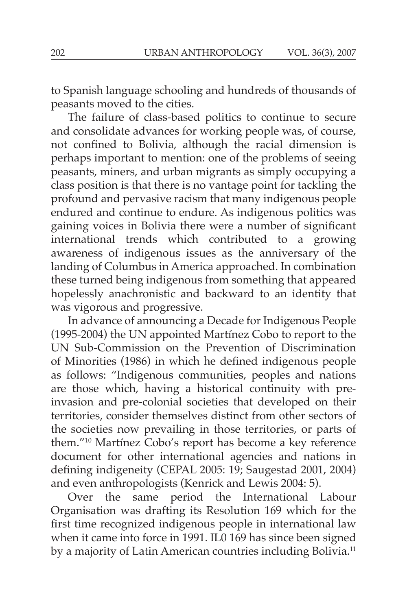to Spanish language schooling and hundreds of thousands of peasants moved to the cities.

The failure of class-based politics to continue to secure and consolidate advances for working people was, of course, not confined to Bolivia, although the racial dimension is perhaps important to mention: one of the problems of seeing peasants, miners, and urban migrants as simply occupying a class position is that there is no vantage point for tackling the profound and pervasive racism that many indigenous people endured and continue to endure. As indigenous politics was gaining voices in Bolivia there were a number of significant international trends which contributed to a growing awareness of indigenous issues as the anniversary of the landing of Columbus in America approached. In combination these turned being indigenous from something that appeared hopelessly anachronistic and backward to an identity that was vigorous and progressive.

In advance of announcing a Decade for Indigenous People (1995-2004) the UN appointed Martínez Cobo to report to the UN Sub-Commission on the Prevention of Discrimination of Minorities (1986) in which he defined indigenous people as follows: "Indigenous communities, peoples and nations are those which, having a historical continuity with preinvasion and pre-colonial societies that developed on their territories, consider themselves distinct from other sectors of the societies now prevailing in those territories, or parts of them."10 Martínez Cobo's report has become a key reference document for other international agencies and nations in defining indigeneity (CEPAL 2005: 19; Saugestad 2001, 2004) and even anthropologists (Kenrick and Lewis 2004: 5).

Over the same period the International Labour Organisation was drafting its Resolution 169 which for the first time recognized indigenous people in international law when it came into force in 1991. IL0 169 has since been signed by a majority of Latin American countries including Bolivia.<sup>11</sup>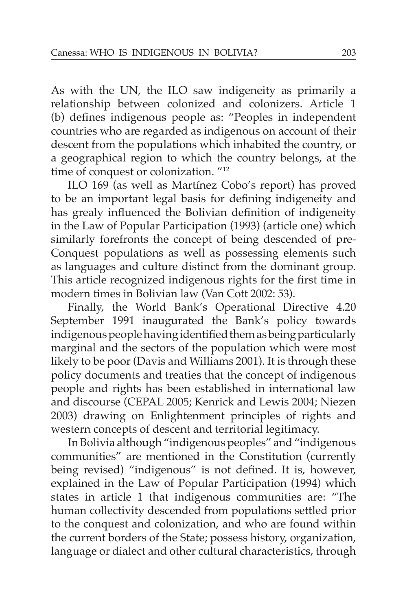As with the UN, the ILO saw indigeneity as primarily a relationship between colonized and colonizers. Article 1 (b) defines indigenous people as: "Peoples in independent countries who are regarded as indigenous on account of their descent from the populations which inhabited the country, or a geographical region to which the country belongs, at the time of conquest or colonization. "12

ILO 169 (as well as Martínez Cobo's report) has proved to be an important legal basis for defining indigeneity and has grealy influenced the Bolivian definition of indigeneity in the Law of Popular Participation (1993) (article one) which similarly forefronts the concept of being descended of pre-Conquest populations as well as possessing elements such as languages and culture distinct from the dominant group. This article recognized indigenous rights for the first time in modern times in Bolivian law (Van Cott 2002: 53).

Finally, the World Bank's Operational Directive 4.20 September 1991 inaugurated the Bank's policy towards indigenous people having identified them as being particularly marginal and the sectors of the population which were most likely to be poor (Davis and Williams 2001). It is through these policy documents and treaties that the concept of indigenous people and rights has been established in international law and discourse (CEPAL 2005; Kenrick and Lewis 2004; Niezen 2003) drawing on Enlightenment principles of rights and western concepts of descent and territorial legitimacy.

In Bolivia although "indigenous peoples" and "indigenous communities" are mentioned in the Constitution (currently being revised) "indigenous" is not defined. It is, however, explained in the Law of Popular Participation (1994) which states in article 1 that indigenous communities are: "The human collectivity descended from populations settled prior to the conquest and colonization, and who are found within the current borders of the State; possess history, organization, language or dialect and other cultural characteristics, through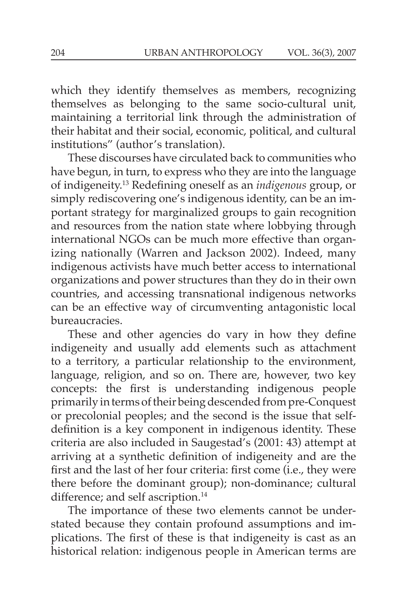which they identify themselves as members, recognizing themselves as belonging to the same socio-cultural unit, maintaining a territorial link through the administration of their habitat and their social, economic, political, and cultural institutions" (author's translation).

These discourses have circulated back to communities who have begun, in turn, to express who they are into the language of indigeneity.13 Redefining oneself as an *indigenous* group, or simply rediscovering one's indigenous identity, can be an important strategy for marginalized groups to gain recognition and resources from the nation state where lobbying through international NGOs can be much more effective than organizing nationally (Warren and Jackson 2002). Indeed, many indigenous activists have much better access to international organizations and power structures than they do in their own countries, and accessing transnational indigenous networks can be an effective way of circumventing antagonistic local bureaucracies.

These and other agencies do vary in how they define indigeneity and usually add elements such as attachment to a territory, a particular relationship to the environment, language, religion, and so on. There are, however, two key concepts: the first is understanding indigenous people primarily in terms of their being descended from pre-Conquest or precolonial peoples; and the second is the issue that selfdefinition is a key component in indigenous identity. These criteria are also included in Saugestad's (2001: 43) attempt at arriving at a synthetic definition of indigeneity and are the first and the last of her four criteria: first come (i.e., they were there before the dominant group); non-dominance; cultural difference; and self ascription.<sup>14</sup>

The importance of these two elements cannot be understated because they contain profound assumptions and implications. The first of these is that indigeneity is cast as an historical relation: indigenous people in American terms are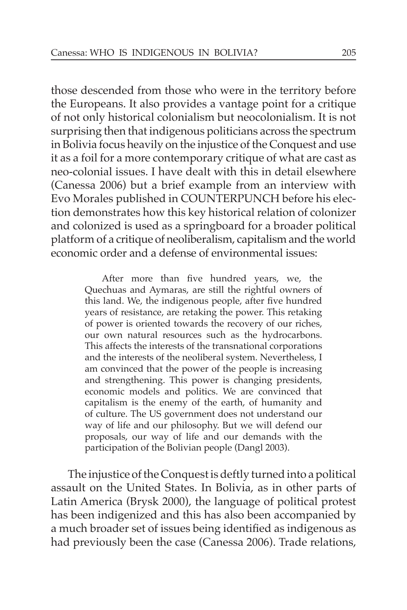those descended from those who were in the territory before the Europeans. It also provides a vantage point for a critique of not only historical colonialism but neocolonialism. It is not surprising then that indigenous politicians across the spectrum in Bolivia focus heavily on the injustice of the Conquest and use it as a foil for a more contemporary critique of what are cast as neo-colonial issues. I have dealt with this in detail elsewhere (Canessa 2006) but a brief example from an interview with Evo Morales published in COUNTERPUNCH before his election demonstrates how this key historical relation of colonizer and colonized is used as a springboard for a broader political platform of a critique of neoliberalism, capitalism and the world economic order and a defense of environmental issues:

> After more than five hundred years, we, the Quechuas and Aymaras, are still the rightful owners of this land. We, the indigenous people, after five hundred years of resistance, are retaking the power. This retaking of power is oriented towards the recovery of our riches, our own natural resources such as the hydrocarbons. This affects the interests of the transnational corporations and the interests of the neoliberal system. Nevertheless, I am convinced that the power of the people is increasing and strengthening. This power is changing presidents, economic models and politics. We are convinced that capitalism is the enemy of the earth, of humanity and of culture. The US government does not understand our way of life and our philosophy. But we will defend our proposals, our way of life and our demands with the participation of the Bolivian people (Dangl 2003).

The injustice of the Conquest is deftly turned into a political assault on the United States. In Bolivia, as in other parts of Latin America (Brysk 2000), the language of political protest has been indigenized and this has also been accompanied by a much broader set of issues being identified as indigenous as had previously been the case (Canessa 2006). Trade relations,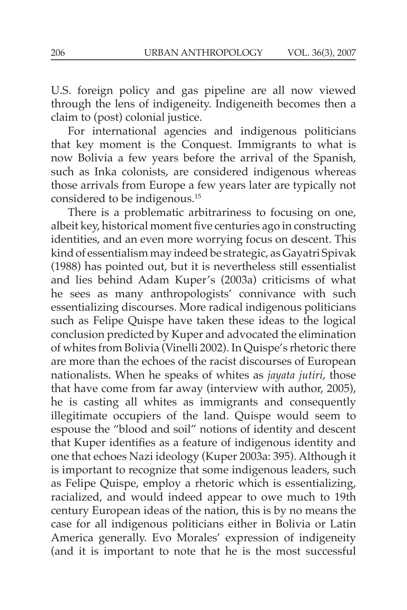U.S. foreign policy and gas pipeline are all now viewed through the lens of indigeneity. Indigeneith becomes then a claim to (post) colonial justice.

For international agencies and indigenous politicians that key moment is the Conquest. Immigrants to what is now Bolivia a few years before the arrival of the Spanish, such as Inka colonists, are considered indigenous whereas those arrivals from Europe a few years later are typically not considered to be indigenous.15

There is a problematic arbitrariness to focusing on one, albeit key, historical moment five centuries ago in constructing identities, and an even more worrying focus on descent. This kind of essentialism may indeed be strategic, as Gayatri Spivak (1988) has pointed out, but it is nevertheless still essentialist and lies behind Adam Kuper's (2003a) criticisms of what he sees as many anthropologists' connivance with such essentializing discourses. More radical indigenous politicians such as Felipe Quispe have taken these ideas to the logical conclusion predicted by Kuper and advocated the elimination of whites from Bolivia (Vinelli 2002). In Quispe's rhetoric there are more than the echoes of the racist discourses of European nationalists. When he speaks of whites as *jayata jutiri*, those that have come from far away (interview with author, 2005), he is casting all whites as immigrants and consequently illegitimate occupiers of the land. Quispe would seem to espouse the "blood and soil" notions of identity and descent that Kuper identifies as a feature of indigenous identity and one that echoes Nazi ideology (Kuper 2003a: 395). Although it is important to recognize that some indigenous leaders, such as Felipe Quispe, employ a rhetoric which is essentializing, racialized, and would indeed appear to owe much to 19th century European ideas of the nation, this is by no means the case for all indigenous politicians either in Bolivia or Latin America generally. Evo Morales' expression of indigeneity (and it is important to note that he is the most successful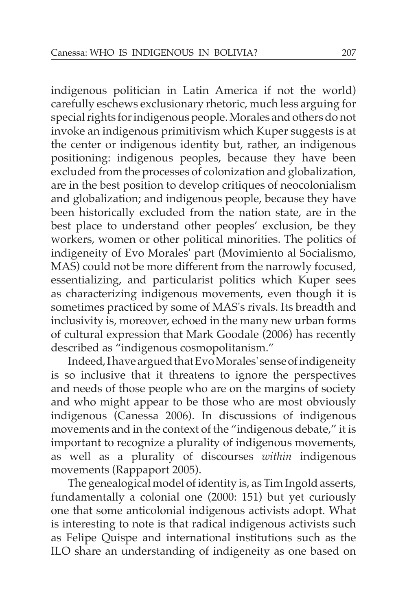indigenous politician in Latin America if not the world) carefully eschews exclusionary rhetoric, much less arguing for special rights for indigenous people. Morales and others do not invoke an indigenous primitivism which Kuper suggests is at the center or indigenous identity but, rather, an indigenous positioning: indigenous peoples, because they have been excluded from the processes of colonization and globalization, are in the best position to develop critiques of neocolonialism and globalization; and indigenous people, because they have been historically excluded from the nation state, are in the best place to understand other peoples' exclusion, be they workers, women or other political minorities. The politics of indigeneity of Evo Morales' part (Movimiento al Socialismo, MAS) could not be more different from the narrowly focused, essentializing, and particularist politics which Kuper sees as characterizing indigenous movements, even though it is sometimes practiced by some of MAS's rivals. Its breadth and inclusivity is, moreover, echoed in the many new urban forms of cultural expression that Mark Goodale (2006) has recently described as "indigenous cosmopolitanism."

Indeed, I have argued that Evo Morales' sense of indigeneity is so inclusive that it threatens to ignore the perspectives and needs of those people who are on the margins of society and who might appear to be those who are most obviously indigenous (Canessa 2006). In discussions of indigenous movements and in the context of the "indigenous debate," it is important to recognize a plurality of indigenous movements, as well as a plurality of discourses *within* indigenous movements (Rappaport 2005).

The genealogical model of identity is, as Tim Ingold asserts, fundamentally a colonial one (2000: 151) but yet curiously one that some anticolonial indigenous activists adopt. What is interesting to note is that radical indigenous activists such as Felipe Quispe and international institutions such as the ILO share an understanding of indigeneity as one based on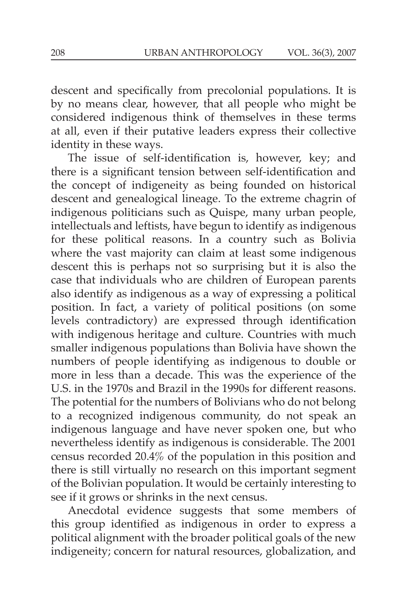descent and specifically from precolonial populations. It is by no means clear, however, that all people who might be considered indigenous think of themselves in these terms at all, even if their putative leaders express their collective identity in these ways.

The issue of self-identification is, however, key; and there is a significant tension between self-identification and the concept of indigeneity as being founded on historical descent and genealogical lineage. To the extreme chagrin of indigenous politicians such as Quispe, many urban people, intellectuals and leftists, have begun to identify as indigenous for these political reasons. In a country such as Bolivia where the vast majority can claim at least some indigenous descent this is perhaps not so surprising but it is also the case that individuals who are children of European parents also identify as indigenous as a way of expressing a political position. In fact, a variety of political positions (on some levels contradictory) are expressed through identification with indigenous heritage and culture. Countries with much smaller indigenous populations than Bolivia have shown the numbers of people identifying as indigenous to double or more in less than a decade. This was the experience of the U.S. in the 1970s and Brazil in the 1990s for different reasons. The potential for the numbers of Bolivians who do not belong to a recognized indigenous community, do not speak an indigenous language and have never spoken one, but who nevertheless identify as indigenous is considerable. The 2001 census recorded 20.4% of the population in this position and there is still virtually no research on this important segment of the Bolivian population. It would be certainly interesting to see if it grows or shrinks in the next census.

Anecdotal evidence suggests that some members of this group identified as indigenous in order to express a political alignment with the broader political goals of the new indigeneity; concern for natural resources, globalization, and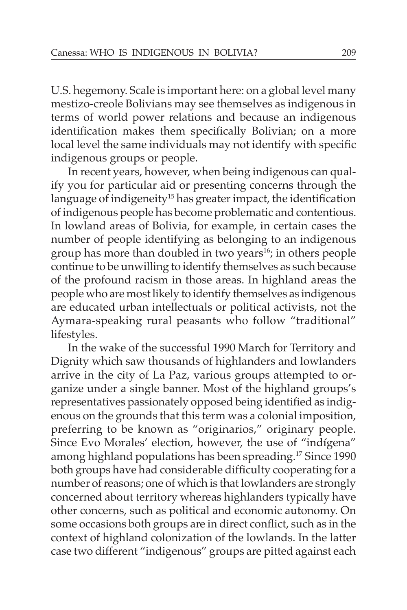U.S. hegemony. Scale is important here: on a global level many mestizo-creole Bolivians may see themselves as indigenous in terms of world power relations and because an indigenous identification makes them specifically Bolivian; on a more local level the same individuals may not identify with specific indigenous groups or people.

In recent years, however, when being indigenous can qualify you for particular aid or presenting concerns through the language of indigeneity<sup>15</sup> has greater impact, the identification of indigenous people has become problematic and contentious. In lowland areas of Bolivia, for example, in certain cases the number of people identifying as belonging to an indigenous group has more than doubled in two years<sup>16</sup>; in others people continue to be unwilling to identify themselves as such because of the profound racism in those areas. In highland areas the people who are most likely to identify themselves as indigenous are educated urban intellectuals or political activists, not the Aymara-speaking rural peasants who follow "traditional" lifestyles.

In the wake of the successful 1990 March for Territory and Dignity which saw thousands of highlanders and lowlanders arrive in the city of La Paz, various groups attempted to organize under a single banner. Most of the highland groups's representatives passionately opposed being identified as indigenous on the grounds that this term was a colonial imposition, preferring to be known as "originarios," originary people. Since Evo Morales' election, however, the use of "indígena" among highland populations has been spreading.17 Since 1990 both groups have had considerable difficulty cooperating for a number of reasons; one of which is that lowlanders are strongly concerned about territory whereas highlanders typically have other concerns, such as political and economic autonomy. On some occasions both groups are in direct conflict, such as in the context of highland colonization of the lowlands. In the latter case two different "indigenous" groups are pitted against each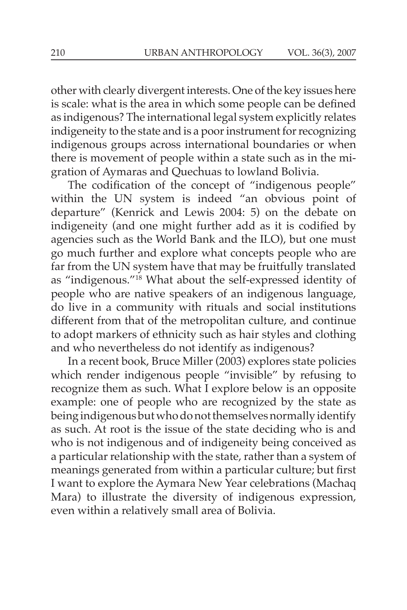other with clearly divergent interests. One of the key issues here is scale: what is the area in which some people can be defined as indigenous? The international legal system explicitly relates indigeneity to the state and is a poor instrument for recognizing indigenous groups across international boundaries or when there is movement of people within a state such as in the migration of Aymaras and Quechuas to lowland Bolivia.

The codification of the concept of "indigenous people" within the UN system is indeed "an obvious point of departure" (Kenrick and Lewis 2004: 5) on the debate on indigeneity (and one might further add as it is codified by agencies such as the World Bank and the ILO), but one must go much further and explore what concepts people who are far from the UN system have that may be fruitfully translated as "indigenous."18 What about the self-expressed identity of people who are native speakers of an indigenous language, do live in a community with rituals and social institutions different from that of the metropolitan culture, and continue to adopt markers of ethnicity such as hair styles and clothing and who nevertheless do not identify as indigenous?

In a recent book, Bruce Miller (2003) explores state policies which render indigenous people "invisible" by refusing to recognize them as such. What I explore below is an opposite example: one of people who are recognized by the state as being indigenous but who do not themselves normally identify as such. At root is the issue of the state deciding who is and who is not indigenous and of indigeneity being conceived as a particular relationship with the state, rather than a system of meanings generated from within a particular culture; but first I want to explore the Aymara New Year celebrations (Machaq Mara) to illustrate the diversity of indigenous expression, even within a relatively small area of Bolivia.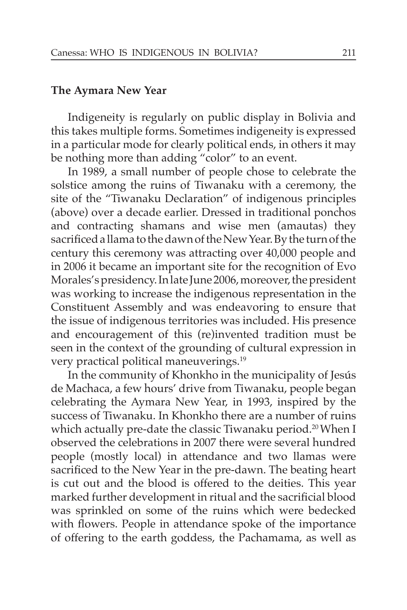## **The Aymara New Year**

Indigeneity is regularly on public display in Bolivia and this takes multiple forms. Sometimes indigeneity is expressed in a particular mode for clearly political ends, in others it may be nothing more than adding "color" to an event.

In 1989, a small number of people chose to celebrate the solstice among the ruins of Tiwanaku with a ceremony, the site of the "Tiwanaku Declaration" of indigenous principles (above) over a decade earlier. Dressed in traditional ponchos and contracting shamans and wise men (amautas) they sacrificed a llama to the dawn of the New Year. By the turn of the century this ceremony was attracting over 40,000 people and in 2006 it became an important site for the recognition of Evo Morales's presidency. In late June 2006, moreover, the president was working to increase the indigenous representation in the Constituent Assembly and was endeavoring to ensure that the issue of indigenous territories was included. His presence and encouragement of this (re)invented tradition must be seen in the context of the grounding of cultural expression in very practical political maneuverings.19

In the community of Khonkho in the municipality of Jesús de Machaca, a few hours' drive from Tiwanaku, people began celebrating the Aymara New Year, in 1993, inspired by the success of Tiwanaku. In Khonkho there are a number of ruins which actually pre-date the classic Tiwanaku period.<sup>20</sup> When I observed the celebrations in 2007 there were several hundred people (mostly local) in attendance and two llamas were sacrificed to the New Year in the pre-dawn. The beating heart is cut out and the blood is offered to the deities. This year marked further development in ritual and the sacrificial blood was sprinkled on some of the ruins which were bedecked with flowers. People in attendance spoke of the importance of offering to the earth goddess, the Pachamama, as well as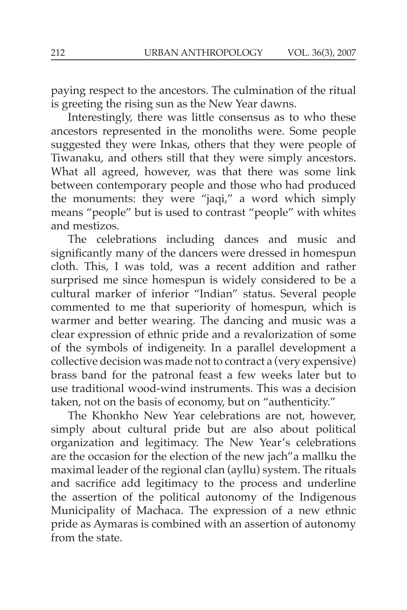paying respect to the ancestors. The culmination of the ritual is greeting the rising sun as the New Year dawns.

Interestingly, there was little consensus as to who these ancestors represented in the monoliths were. Some people suggested they were Inkas, others that they were people of Tiwanaku, and others still that they were simply ancestors. What all agreed, however, was that there was some link between contemporary people and those who had produced the monuments: they were "jaqi," a word which simply means "people" but is used to contrast "people" with whites and mestizos.

The celebrations including dances and music and significantly many of the dancers were dressed in homespun cloth. This, I was told, was a recent addition and rather surprised me since homespun is widely considered to be a cultural marker of inferior "Indian" status. Several people commented to me that superiority of homespun, which is warmer and better wearing. The dancing and music was a clear expression of ethnic pride and a revalorization of some of the symbols of indigeneity. In a parallel development a collective decision was made not to contract a (very expensive) brass band for the patronal feast a few weeks later but to use traditional wood-wind instruments. This was a decision taken, not on the basis of economy, but on "authenticity."

The Khonkho New Year celebrations are not, however, simply about cultural pride but are also about political organization and legitimacy. The New Year's celebrations are the occasion for the election of the new jach"a mallku the maximal leader of the regional clan (ayllu) system. The rituals and sacrifice add legitimacy to the process and underline the assertion of the political autonomy of the Indigenous Municipality of Machaca. The expression of a new ethnic pride as Aymaras is combined with an assertion of autonomy from the state.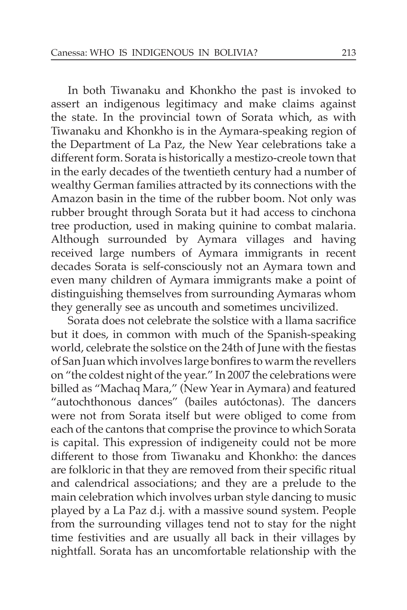In both Tiwanaku and Khonkho the past is invoked to assert an indigenous legitimacy and make claims against the state. In the provincial town of Sorata which, as with Tiwanaku and Khonkho is in the Aymara-speaking region of the Department of La Paz, the New Year celebrations take a different form. Sorata is historically a mestizo-creole town that in the early decades of the twentieth century had a number of wealthy German families attracted by its connections with the Amazon basin in the time of the rubber boom. Not only was rubber brought through Sorata but it had access to cinchona tree production, used in making quinine to combat malaria. Although surrounded by Aymara villages and having received large numbers of Aymara immigrants in recent decades Sorata is self-consciously not an Aymara town and even many children of Aymara immigrants make a point of distinguishing themselves from surrounding Aymaras whom they generally see as uncouth and sometimes uncivilized.

Sorata does not celebrate the solstice with a llama sacrifice but it does, in common with much of the Spanish-speaking world, celebrate the solstice on the 24th of June with the fiestas of San Juan which involves large bonfires to warm the revellers on "the coldest night of the year." In 2007 the celebrations were billed as "Machaq Mara," (New Year in Aymara) and featured "autochthonous dances" (bailes autóctonas). The dancers were not from Sorata itself but were obliged to come from each of the cantons that comprise the province to which Sorata is capital. This expression of indigeneity could not be more different to those from Tiwanaku and Khonkho: the dances are folkloric in that they are removed from their specific ritual and calendrical associations; and they are a prelude to the main celebration which involves urban style dancing to music played by a La Paz d.j. with a massive sound system. People from the surrounding villages tend not to stay for the night time festivities and are usually all back in their villages by nightfall. Sorata has an uncomfortable relationship with the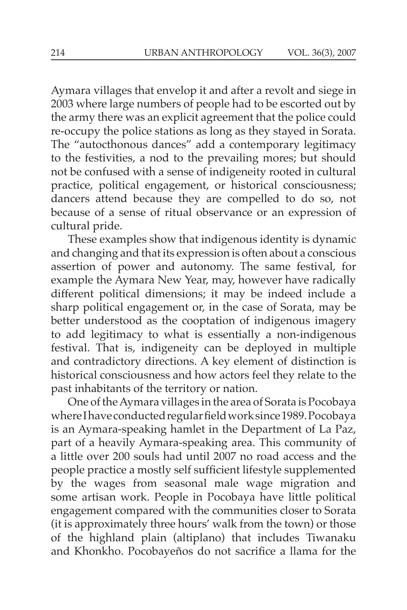Aymara villages that envelop it and after a revolt and siege in 2003 where large numbers of people had to be escorted out by the army there was an explicit agreement that the police could re-occupy the police stations as long as they stayed in Sorata. The "autocthonous dances" add a contemporary legitimacy to the festivities, a nod to the prevailing mores; but should not be confused with a sense of indigeneity rooted in cultural practice, political engagement, or historical consciousness; dancers attend because they are compelled to do so, not because of a sense of ritual observance or an expression of cultural pride.

These examples show that indigenous identity is dynamic and changing and that its expression is often about a conscious assertion of power and autonomy. The same festival, for example the Aymara New Year, may, however have radically different political dimensions; it may be indeed include a sharp political engagement or, in the case of Sorata, may be better understood as the cooptation of indigenous imagery to add legitimacy to what is essentially a non-indigenous festival. That is, indigeneity can be deployed in multiple and contradictory directions. A key element of distinction is historical consciousness and how actors feel they relate to the past inhabitants of the territory or nation.

One of the Aymara villages in the area of Sorata is Pocobaya where I have conducted regular field work since 1989. Pocobaya is an Aymara-speaking hamlet in the Department of La Paz, part of a heavily Aymara-speaking area. This community of a little over 200 souls had until 2007 no road access and the people practice a mostly self sufficient lifestyle supplemented by the wages from seasonal male wage migration and some artisan work. People in Pocobaya have little political engagement compared with the communities closer to Sorata (it is approximately three hours' walk from the town) or those of the highland plain (altiplano) that includes Tiwanaku and Khonkho. Pocobayeños do not sacrifice a llama for the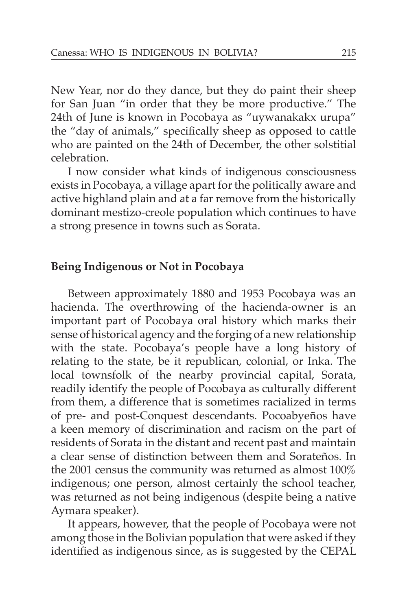New Year, nor do they dance, but they do paint their sheep for San Juan "in order that they be more productive." The 24th of June is known in Pocobaya as "uywanakakx urupa" the "day of animals," specifically sheep as opposed to cattle who are painted on the 24th of December, the other solstitial celebration.

I now consider what kinds of indigenous consciousness exists in Pocobaya, a village apart for the politically aware and active highland plain and at a far remove from the historically dominant mestizo-creole population which continues to have a strong presence in towns such as Sorata.

## **Being Indigenous or Not in Pocobaya**

Between approximately 1880 and 1953 Pocobaya was an hacienda. The overthrowing of the hacienda-owner is an important part of Pocobaya oral history which marks their sense of historical agency and the forging of a new relationship with the state. Pocobaya's people have a long history of relating to the state, be it republican, colonial, or Inka. The local townsfolk of the nearby provincial capital, Sorata, readily identify the people of Pocobaya as culturally different from them, a difference that is sometimes racialized in terms of pre- and post-Conquest descendants. Pocoabyeños have a keen memory of discrimination and racism on the part of residents of Sorata in the distant and recent past and maintain a clear sense of distinction between them and Sorateños. In the 2001 census the community was returned as almost 100% indigenous; one person, almost certainly the school teacher, was returned as not being indigenous (despite being a native Aymara speaker).

It appears, however, that the people of Pocobaya were not among those in the Bolivian population that were asked if they identified as indigenous since, as is suggested by the CEPAL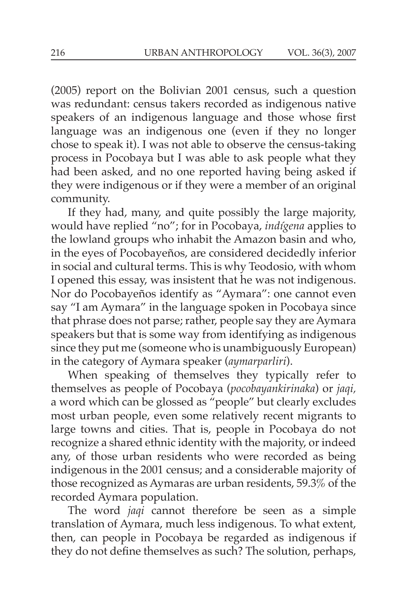(2005) report on the Bolivian 2001 census, such a question was redundant: census takers recorded as indigenous native speakers of an indigenous language and those whose first language was an indigenous one (even if they no longer chose to speak it). I was not able to observe the census-taking process in Pocobaya but I was able to ask people what they had been asked, and no one reported having being asked if they were indigenous or if they were a member of an original community.

If they had, many, and quite possibly the large majority, would have replied "no"; for in Pocobaya, *indígena* applies to the lowland groups who inhabit the Amazon basin and who, in the eyes of Pocobayeños, are considered decidedly inferior in social and cultural terms. This is why Teodosio, with whom I opened this essay, was insistent that he was not indigenous. Nor do Pocobayeños identify as "Aymara": one cannot even say "I am Aymara" in the language spoken in Pocobaya since that phrase does not parse; rather, people say they are Aymara speakers but that is some way from identifying as indigenous since they put me (someone who is unambiguously European) in the category of Aymara speaker (*aymarparliri*).

When speaking of themselves they typically refer to themselves as people of Pocobaya (*pocobayankirinaka*) or *jaqi,*  a word which can be glossed as "people" but clearly excludes most urban people, even some relatively recent migrants to large towns and cities. That is, people in Pocobaya do not recognize a shared ethnic identity with the majority, or indeed any, of those urban residents who were recorded as being indigenous in the 2001 census; and a considerable majority of those recognized as Aymaras are urban residents, 59.3% of the recorded Aymara population.

The word *jaqi* cannot therefore be seen as a simple translation of Aymara, much less indigenous. To what extent, then, can people in Pocobaya be regarded as indigenous if they do not define themselves as such? The solution, perhaps,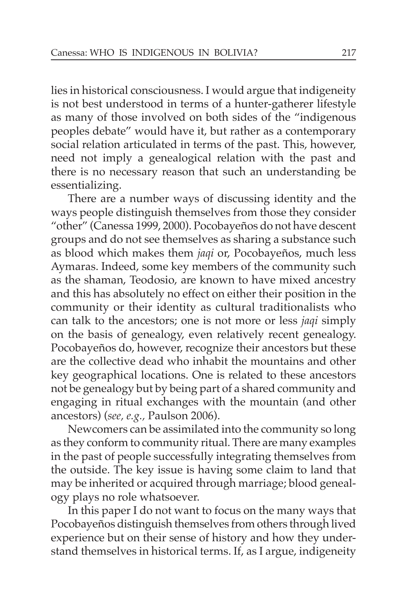lies in historical consciousness. I would argue that indigeneity is not best understood in terms of a hunter-gatherer lifestyle as many of those involved on both sides of the "indigenous peoples debate" would have it, but rather as a contemporary social relation articulated in terms of the past. This, however, need not imply a genealogical relation with the past and there is no necessary reason that such an understanding be essentializing.

There are a number ways of discussing identity and the ways people distinguish themselves from those they consider "other" (Canessa 1999, 2000). Pocobayeños do not have descent groups and do not see themselves as sharing a substance such as blood which makes them *jaqi* or, Pocobayeños, much less Aymaras. Indeed, some key members of the community such as the shaman, Teodosio, are known to have mixed ancestry and this has absolutely no effect on either their position in the community or their identity as cultural traditionalists who can talk to the ancestors; one is not more or less *jaqi* simply on the basis of genealogy, even relatively recent genealogy. Pocobayeños do, however, recognize their ancestors but these are the collective dead who inhabit the mountains and other key geographical locations. One is related to these ancestors not be genealogy but by being part of a shared community and engaging in ritual exchanges with the mountain (and other ancestors) (*see, e.g.,* Paulson 2006).

Newcomers can be assimilated into the community so long as they conform to community ritual. There are many examples in the past of people successfully integrating themselves from the outside. The key issue is having some claim to land that may be inherited or acquired through marriage; blood genealogy plays no role whatsoever.

In this paper I do not want to focus on the many ways that Pocobayeños distinguish themselves from others through lived experience but on their sense of history and how they understand themselves in historical terms. If, as I argue, indigeneity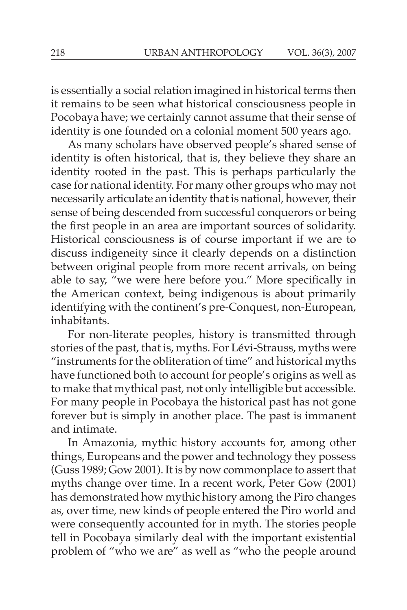is essentially a social relation imagined in historical terms then it remains to be seen what historical consciousness people in Pocobaya have; we certainly cannot assume that their sense of identity is one founded on a colonial moment 500 years ago.

As many scholars have observed people's shared sense of identity is often historical, that is, they believe they share an identity rooted in the past. This is perhaps particularly the case for national identity. For many other groups who may not necessarily articulate an identity that is national, however, their sense of being descended from successful conquerors or being the first people in an area are important sources of solidarity. Historical consciousness is of course important if we are to discuss indigeneity since it clearly depends on a distinction between original people from more recent arrivals, on being able to say, "we were here before you." More specifically in the American context, being indigenous is about primarily identifying with the continent's pre-Conquest, non-European, inhabitants.

For non-literate peoples, history is transmitted through stories of the past, that is, myths. For Lévi-Strauss, myths were "instruments for the obliteration of time" and historical myths have functioned both to account for people's origins as well as to make that mythical past, not only intelligible but accessible. For many people in Pocobaya the historical past has not gone forever but is simply in another place. The past is immanent and intimate.

In Amazonia, mythic history accounts for, among other things, Europeans and the power and technology they possess (Guss 1989; Gow 2001). It is by now commonplace to assert that myths change over time. In a recent work, Peter Gow (2001) has demonstrated how mythic history among the Piro changes as, over time, new kinds of people entered the Piro world and were consequently accounted for in myth. The stories people tell in Pocobaya similarly deal with the important existential problem of "who we are" as well as "who the people around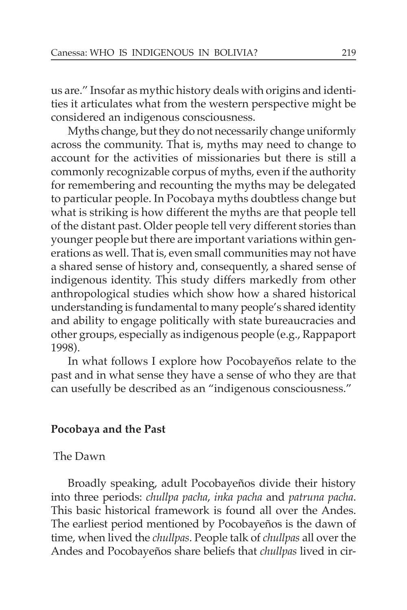us are." Insofar as mythic history deals with origins and identities it articulates what from the western perspective might be considered an indigenous consciousness.

Myths change, but they do not necessarily change uniformly across the community. That is, myths may need to change to account for the activities of missionaries but there is still a commonly recognizable corpus of myths, even if the authority for remembering and recounting the myths may be delegated to particular people. In Pocobaya myths doubtless change but what is striking is how different the myths are that people tell of the distant past. Older people tell very different stories than younger people but there are important variations within generations as well. That is, even small communities may not have a shared sense of history and, consequently, a shared sense of indigenous identity. This study differs markedly from other anthropological studies which show how a shared historical understanding is fundamental to many people's shared identity and ability to engage politically with state bureaucracies and other groups, especially as indigenous people (e.g., Rappaport 1998).

In what follows I explore how Pocobayeños relate to the past and in what sense they have a sense of who they are that can usefully be described as an "indigenous consciousness."

# **Pocobaya and the Past**

## The Dawn

Broadly speaking, adult Pocobayeños divide their history into three periods: *chullpa pacha*, *inka pacha* and *patruna pacha*. This basic historical framework is found all over the Andes. The earliest period mentioned by Pocobayeños is the dawn of time, when lived the *chullpas*. People talk of *chullpas* all over the Andes and Pocobayeños share beliefs that *chullpas* lived in cir-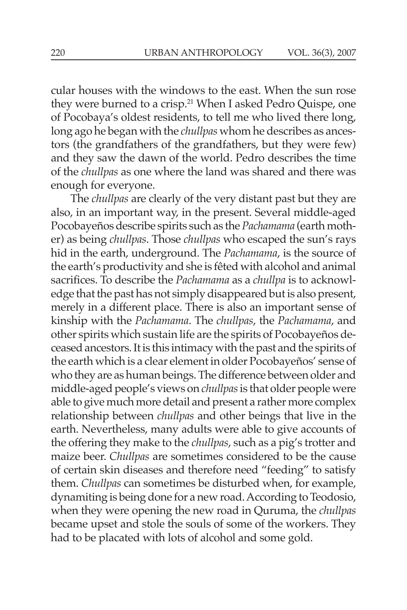cular houses with the windows to the east. When the sun rose they were burned to a crisp.<sup>21</sup> When I asked Pedro Quispe, one of Pocobaya's oldest residents, to tell me who lived there long, long ago he began with the *chullpas* whom he describes as ancestors (the grandfathers of the grandfathers, but they were few) and they saw the dawn of the world. Pedro describes the time of the *chullpas* as one where the land was shared and there was enough for everyone.

 The *chullpas* are clearly of the very distant past but they are also, in an important way, in the present. Several middle-aged Pocobayeños describe spirits such as the *Pachamama* (earth mother) as being *chullpas*. Those *chullpas* who escaped the sun's rays hid in the earth, underground. The *Pachamama*, is the source of the earth's productivity and she is fêted with alcohol and animal sacrifices. To describe the *Pachamama* as a *chullpa* is to acknowledge that the past has not simply disappeared but is also present, merely in a different place. There is also an important sense of kinship with the *Pachamama*. The *chullpas*, the *Pachamama*, and other spirits which sustain life are the spirits of Pocobayeños deceased ancestors. It is this intimacy with the past and the spirits of the earth which is a clear element in older Pocobayeños' sense of who they are as human beings. The difference between older and middle-aged people's views on *chullpas* is that older people were able to give much more detail and present a rather more complex relationship between *chullpas* and other beings that live in the earth. Nevertheless, many adults were able to give accounts of the offering they make to the *chullpas*, such as a pig's trotter and maize beer. *Chullpas* are sometimes considered to be the cause of certain skin diseases and therefore need "feeding" to satisfy them. *Chullpas* can sometimes be disturbed when, for example, dynamiting is being done for a new road. According to Teodosio, when they were opening the new road in Quruma, the *chullpas* became upset and stole the souls of some of the workers. They had to be placated with lots of alcohol and some gold.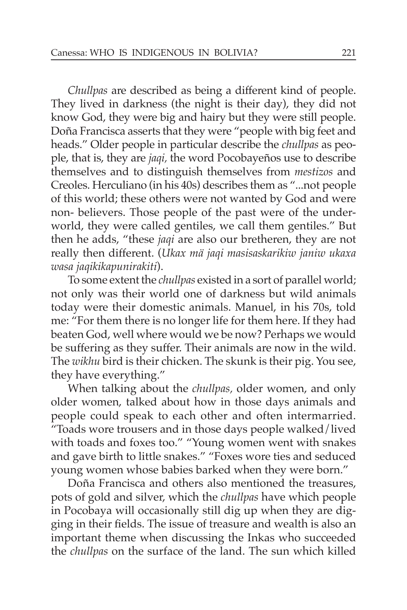*Chullpas* are described as being a different kind of people. They lived in darkness (the night is their day), they did not know God, they were big and hairy but they were still people. Doña Francisca asserts that they were "people with big feet and heads." Older people in particular describe the *chullpas* as people, that is, they are *jaqi,* the word Pocobayeños use to describe themselves and to distinguish themselves from *mestizos* and Creoles. Herculiano (in his 40s) describes them as "...not people of this world; these others were not wanted by God and were non- believers. Those people of the past were of the underworld, they were called gentiles, we call them gentiles." But then he adds, "these *jaqi* are also our bretheren, they are not really then different. (*Ukax mä jaqi masisaskarikiw janiw ukaxa wasa jaqikikapunirakiti*).

To some extent the *chullpas* existed in a sort of parallel world; not only was their world one of darkness but wild animals today were their domestic animals. Manuel, in his 70s, told me: "For them there is no longer life for them here. If they had beaten God, well where would we be now? Perhaps we would be suffering as they suffer. Their animals are now in the wild. The *wikhu* bird is their chicken. The skunk is their pig. You see, they have everything."

When talking about the *chullpas,* older women, and only older women, talked about how in those days animals and people could speak to each other and often intermarried. "Toads wore trousers and in those days people walked/lived with toads and foxes too." "Young women went with snakes and gave birth to little snakes." "Foxes wore ties and seduced young women whose babies barked when they were born."

Doña Francisca and others also mentioned the treasures, pots of gold and silver, which the *chullpas* have which people in Pocobaya will occasionally still dig up when they are digging in their fields. The issue of treasure and wealth is also an important theme when discussing the Inkas who succeeded the *chullpas* on the surface of the land. The sun which killed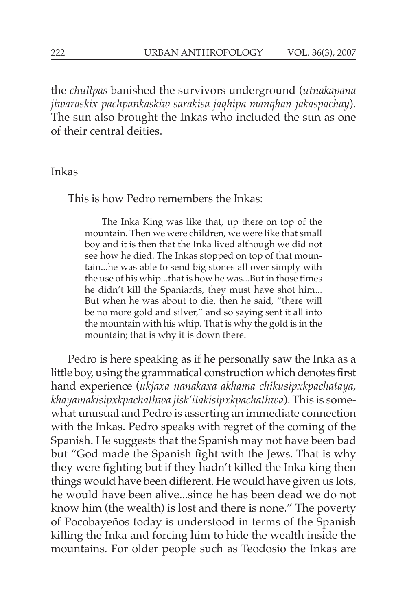the *chullpas* banished the survivors underground (*utnakapana jiwaraskix pachpankaskiw sarakisa jaqhipa manqhan jakaspachay*). The sun also brought the Inkas who included the sun as one of their central deities.

### Inkas

This is how Pedro remembers the Inkas:

The Inka King was like that, up there on top of the mountain. Then we were children, we were like that small boy and it is then that the Inka lived although we did not see how he died. The Inkas stopped on top of that mountain...he was able to send big stones all over simply with the use of his whip...that is how he was...But in those times he didn't kill the Spaniards, they must have shot him... But when he was about to die, then he said, "there will be no more gold and silver," and so saying sent it all into the mountain with his whip. That is why the gold is in the mountain; that is why it is down there.

Pedro is here speaking as if he personally saw the Inka as a little boy, using the grammatical construction which denotes first hand experience (*ukjaxa nanakaxa akhama chikusipxkpachataya, khayamakisipxkpachathwa jisk'itakisipxkpachathwa*). This is somewhat unusual and Pedro is asserting an immediate connection with the Inkas. Pedro speaks with regret of the coming of the Spanish. He suggests that the Spanish may not have been bad but "God made the Spanish fight with the Jews. That is why they were fighting but if they hadn't killed the Inka king then things would have been different. He would have given us lots, he would have been alive...since he has been dead we do not know him (the wealth) is lost and there is none." The poverty of Pocobayeños today is understood in terms of the Spanish killing the Inka and forcing him to hide the wealth inside the mountains. For older people such as Teodosio the Inkas are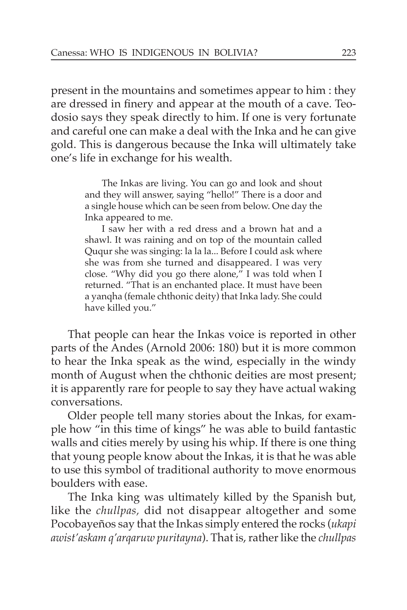present in the mountains and sometimes appear to him : they are dressed in finery and appear at the mouth of a cave. Teodosio says they speak directly to him. If one is very fortunate and careful one can make a deal with the Inka and he can give gold. This is dangerous because the Inka will ultimately take one's life in exchange for his wealth.

> The Inkas are living. You can go and look and shout and they will answer, saying "hello!" There is a door and a single house which can be seen from below. One day the Inka appeared to me.

> I saw her with a red dress and a brown hat and a shawl. It was raining and on top of the mountain called Ququr she was singing: la la la... Before I could ask where she was from she turned and disappeared. I was very close. "Why did you go there alone," I was told when I returned. "That is an enchanted place. It must have been a yanqha (female chthonic deity) that Inka lady. She could have killed you."

That people can hear the Inkas voice is reported in other parts of the Andes (Arnold 2006: 180) but it is more common to hear the Inka speak as the wind, especially in the windy month of August when the chthonic deities are most present; it is apparently rare for people to say they have actual waking conversations.

Older people tell many stories about the Inkas, for example how "in this time of kings" he was able to build fantastic walls and cities merely by using his whip. If there is one thing that young people know about the Inkas, it is that he was able to use this symbol of traditional authority to move enormous boulders with ease.

The Inka king was ultimately killed by the Spanish but, like the *chullpas,* did not disappear altogether and some Pocobayeños say that the Inkas simply entered the rocks (*ukapi awist'askam q'arqaruw puritayna*). That is, rather like the *chullpas*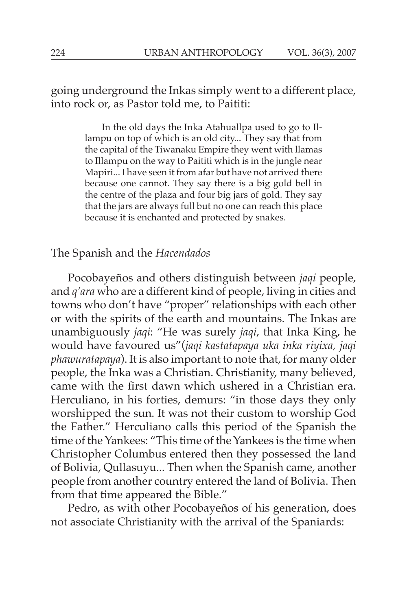going underground the Inkas simply went to a different place, into rock or, as Pastor told me, to Paititi:

> In the old days the Inka Atahuallpa used to go to Illampu on top of which is an old city... They say that from the capital of the Tiwanaku Empire they went with llamas to Illampu on the way to Paititi which is in the jungle near Mapiri... I have seen it from afar but have not arrived there because one cannot. They say there is a big gold bell in the centre of the plaza and four big jars of gold. They say that the jars are always full but no one can reach this place because it is enchanted and protected by snakes.

The Spanish and the *Hacendados*

Pocobayeños and others distinguish between *jaqi* people, and *q'ara* who are a different kind of people, living in cities and towns who don't have "proper" relationships with each other or with the spirits of the earth and mountains. The Inkas are unambiguously *jaqi*: "He was surely *jaqi*, that Inka King, he would have favoured us"(*jaqi kastatapaya uka inka riyixa, jaqi phawuratapaya*). It is also important to note that, for many older people, the Inka was a Christian. Christianity, many believed, came with the first dawn which ushered in a Christian era. Herculiano, in his forties, demurs: "in those days they only worshipped the sun. It was not their custom to worship God the Father." Herculiano calls this period of the Spanish the time of the Yankees: "This time of the Yankees is the time when Christopher Columbus entered then they possessed the land of Bolivia, Qullasuyu... Then when the Spanish came, another people from another country entered the land of Bolivia. Then from that time appeared the Bible."

Pedro, as with other Pocobayeños of his generation, does not associate Christianity with the arrival of the Spaniards: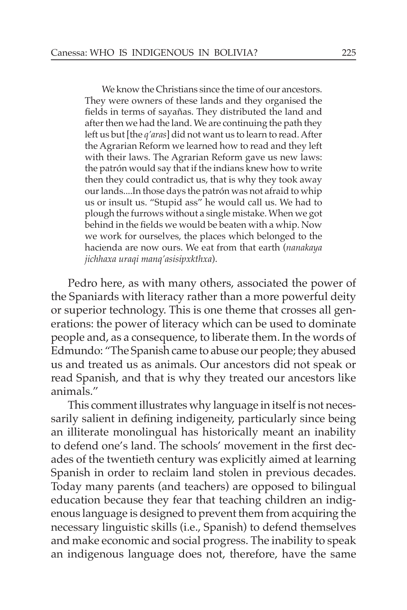We know the Christians since the time of our ancestors. They were owners of these lands and they organised the fields in terms of sayañas. They distributed the land and after then we had the land. We are continuing the path they left us but [the *q'aras*] did not want us to learn to read. After the Agrarian Reform we learned how to read and they left with their laws. The Agrarian Reform gave us new laws: the patrón would say that if the indians knew how to write then they could contradict us, that is why they took away our lands....In those days the patrón was not afraid to whip us or insult us. "Stupid ass" he would call us. We had to plough the furrows without a single mistake. When we got behind in the fields we would be beaten with a whip. Now we work for ourselves, the places which belonged to the hacienda are now ours. We eat from that earth (*nanakaya jichhaxa uraqi manq'asisipxkthxa*).

Pedro here, as with many others, associated the power of the Spaniards with literacy rather than a more powerful deity or superior technology. This is one theme that crosses all generations: the power of literacy which can be used to dominate people and, as a consequence, to liberate them. In the words of Edmundo: "The Spanish came to abuse our people; they abused us and treated us as animals. Our ancestors did not speak or read Spanish, and that is why they treated our ancestors like animals."

This comment illustrates why language in itself is not necessarily salient in defining indigeneity, particularly since being an illiterate monolingual has historically meant an inability to defend one's land. The schools' movement in the first decades of the twentieth century was explicitly aimed at learning Spanish in order to reclaim land stolen in previous decades. Today many parents (and teachers) are opposed to bilingual education because they fear that teaching children an indigenous language is designed to prevent them from acquiring the necessary linguistic skills (i.e., Spanish) to defend themselves and make economic and social progress. The inability to speak an indigenous language does not, therefore, have the same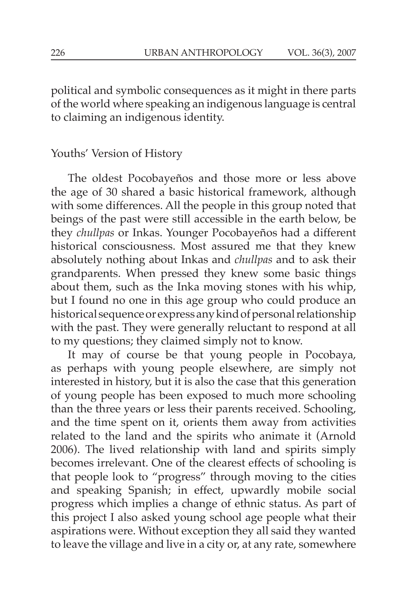political and symbolic consequences as it might in there parts of the world where speaking an indigenous language is central to claiming an indigenous identity.

## Youths' Version of History

The oldest Pocobayeños and those more or less above the age of 30 shared a basic historical framework, although with some differences. All the people in this group noted that beings of the past were still accessible in the earth below, be they *chullpas* or Inkas. Younger Pocobayeños had a different historical consciousness. Most assured me that they knew absolutely nothing about Inkas and *chullpas* and to ask their grandparents. When pressed they knew some basic things about them, such as the Inka moving stones with his whip, but I found no one in this age group who could produce an historical sequence or express any kind of personal relationship with the past. They were generally reluctant to respond at all to my questions; they claimed simply not to know.

It may of course be that young people in Pocobaya, as perhaps with young people elsewhere, are simply not interested in history, but it is also the case that this generation of young people has been exposed to much more schooling than the three years or less their parents received. Schooling, and the time spent on it, orients them away from activities related to the land and the spirits who animate it (Arnold 2006). The lived relationship with land and spirits simply becomes irrelevant. One of the clearest effects of schooling is that people look to "progress" through moving to the cities and speaking Spanish; in effect, upwardly mobile social progress which implies a change of ethnic status. As part of this project I also asked young school age people what their aspirations were. Without exception they all said they wanted to leave the village and live in a city or, at any rate, somewhere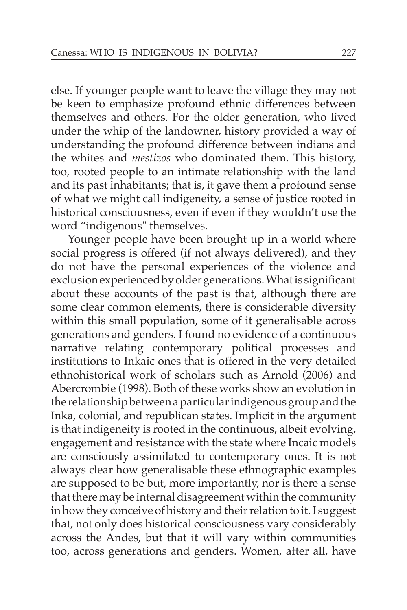else. If younger people want to leave the village they may not be keen to emphasize profound ethnic differences between themselves and others. For the older generation, who lived under the whip of the landowner, history provided a way of understanding the profound difference between indians and the whites and *mestizos* who dominated them. This history, too, rooted people to an intimate relationship with the land and its past inhabitants; that is, it gave them a profound sense of what we might call indigeneity, a sense of justice rooted in historical consciousness, even if even if they wouldn't use the word "indigenous" themselves.

Younger people have been brought up in a world where social progress is offered (if not always delivered), and they do not have the personal experiences of the violence and exclusion experienced by older generations. What is significant about these accounts of the past is that, although there are some clear common elements, there is considerable diversity within this small population, some of it generalisable across generations and genders. I found no evidence of a continuous narrative relating contemporary political processes and institutions to Inkaic ones that is offered in the very detailed ethnohistorical work of scholars such as Arnold (2006) and Abercrombie (1998). Both of these works show an evolution in the relationship between a particular indigenous group and the Inka, colonial, and republican states. Implicit in the argument is that indigeneity is rooted in the continuous, albeit evolving, engagement and resistance with the state where Incaic models are consciously assimilated to contemporary ones. It is not always clear how generalisable these ethnographic examples are supposed to be but, more importantly, nor is there a sense that there may be internal disagreement within the community in how they conceive of history and their relation to it. I suggest that, not only does historical consciousness vary considerably across the Andes, but that it will vary within communities too, across generations and genders. Women, after all, have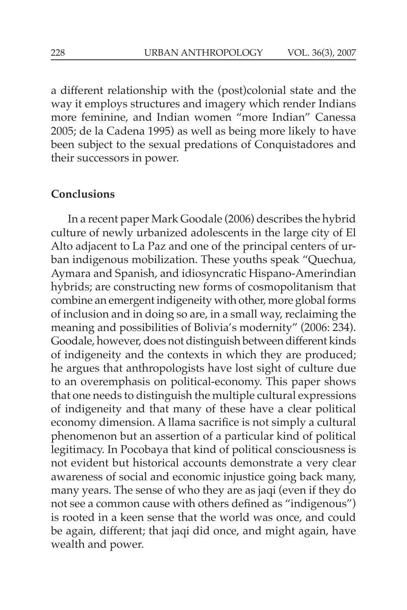a different relationship with the (post)colonial state and the way it employs structures and imagery which render Indians more feminine, and Indian women "more Indian" Canessa 2005; de la Cadena 1995) as well as being more likely to have been subject to the sexual predations of Conquistadores and their successors in power.

## **Conclusions**

In a recent paper Mark Goodale (2006) describes the hybrid culture of newly urbanized adolescents in the large city of El Alto adjacent to La Paz and one of the principal centers of urban indigenous mobilization. These youths speak "Quechua, Aymara and Spanish, and idiosyncratic Hispano-Amerindian hybrids; are constructing new forms of cosmopolitanism that combine an emergent indigeneity with other, more global forms of inclusion and in doing so are, in a small way, reclaiming the meaning and possibilities of Bolivia's modernity" (2006: 234). Goodale, however, does not distinguish between different kinds of indigeneity and the contexts in which they are produced; he argues that anthropologists have lost sight of culture due to an overemphasis on political-economy. This paper shows that one needs to distinguish the multiple cultural expressions of indigeneity and that many of these have a clear political economy dimension. A llama sacrifice is not simply a cultural phenomenon but an assertion of a particular kind of political legitimacy. In Pocobaya that kind of political consciousness is not evident but historical accounts demonstrate a very clear awareness of social and economic injustice going back many, many years. The sense of who they are as jaqi (even if they do not see a common cause with others defined as "indigenous") is rooted in a keen sense that the world was once, and could be again, different; that jaqi did once, and might again, have wealth and power.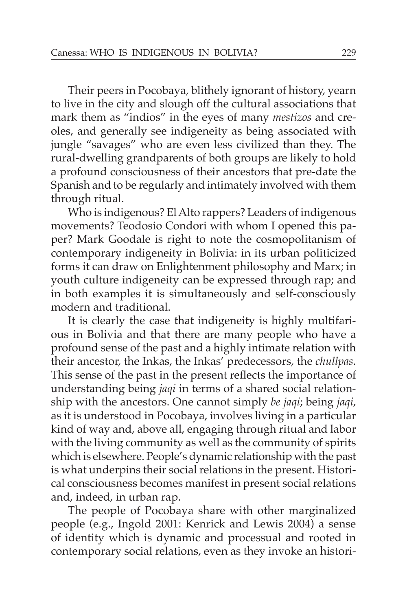Their peers in Pocobaya, blithely ignorant of history, yearn to live in the city and slough off the cultural associations that mark them as "indios" in the eyes of many *mestizos* and creoles, and generally see indigeneity as being associated with jungle "savages" who are even less civilized than they. The rural-dwelling grandparents of both groups are likely to hold a profound consciousness of their ancestors that pre-date the Spanish and to be regularly and intimately involved with them through ritual.

Who is indigenous? El Alto rappers? Leaders of indigenous movements? Teodosio Condori with whom I opened this paper? Mark Goodale is right to note the cosmopolitanism of contemporary indigeneity in Bolivia: in its urban politicized forms it can draw on Enlightenment philosophy and Marx; in youth culture indigeneity can be expressed through rap; and in both examples it is simultaneously and self-consciously modern and traditional.

It is clearly the case that indigeneity is highly multifarious in Bolivia and that there are many people who have a profound sense of the past and a highly intimate relation with their ancestor, the Inkas, the Inkas' predecessors, the *chullpas.*  This sense of the past in the present reflects the importance of understanding being *jaqi* in terms of a shared social relationship with the ancestors. One cannot simply *be jaqi*; being *jaqi*, as it is understood in Pocobaya, involves living in a particular kind of way and, above all, engaging through ritual and labor with the living community as well as the community of spirits which is elsewhere. People's dynamic relationship with the past is what underpins their social relations in the present. Historical consciousness becomes manifest in present social relations and, indeed, in urban rap.

The people of Pocobaya share with other marginalized people (e.g., Ingold 2001: Kenrick and Lewis 2004) a sense of identity which is dynamic and processual and rooted in contemporary social relations, even as they invoke an histori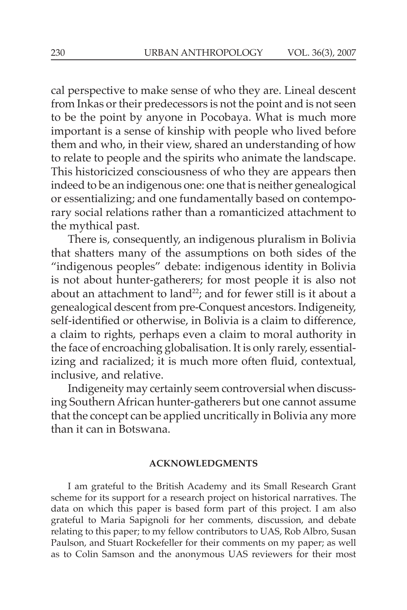cal perspective to make sense of who they are. Lineal descent from Inkas or their predecessors is not the point and is not seen to be the point by anyone in Pocobaya. What is much more important is a sense of kinship with people who lived before them and who, in their view, shared an understanding of how to relate to people and the spirits who animate the landscape. This historicized consciousness of who they are appears then indeed to be an indigenous one: one that is neither genealogical or essentializing; and one fundamentally based on contemporary social relations rather than a romanticized attachment to the mythical past.

There is, consequently, an indigenous pluralism in Bolivia that shatters many of the assumptions on both sides of the "indigenous peoples" debate: indigenous identity in Bolivia is not about hunter-gatherers; for most people it is also not about an attachment to land<sup>22</sup>; and for fewer still is it about a genealogical descent from pre-Conquest ancestors. Indigeneity, self-identified or otherwise, in Bolivia is a claim to difference, a claim to rights, perhaps even a claim to moral authority in the face of encroaching globalisation. It is only rarely, essentializing and racialized; it is much more often fluid, contextual, inclusive, and relative.

Indigeneity may certainly seem controversial when discussing Southern African hunter-gatherers but one cannot assume that the concept can be applied uncritically in Bolivia any more than it can in Botswana.

#### **ACKNOWLEDGMENTS**

I am grateful to the British Academy and its Small Research Grant scheme for its support for a research project on historical narratives. The data on which this paper is based form part of this project. I am also grateful to Maria Sapignoli for her comments, discussion, and debate relating to this paper; to my fellow contributors to UAS, Rob Albro, Susan Paulson, and Stuart Rockefeller for their comments on my paper; as well as to Colin Samson and the anonymous UAS reviewers for their most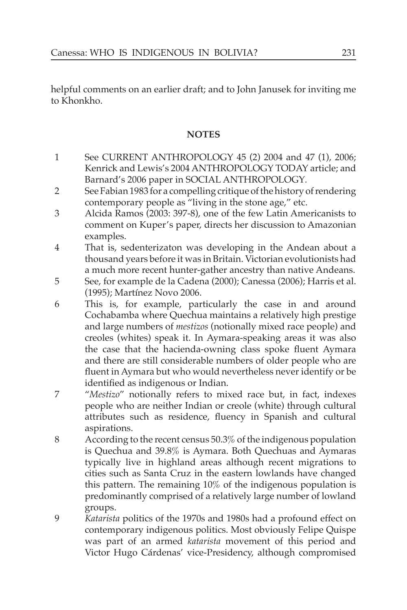helpful comments on an earlier draft; and to John Janusek for inviting me to Khonkho.

## **NOTES**

- 1 See CURRENT ANTHROPOLOGY 45 (2) 2004 and 47 (1), 2006; Kenrick and Lewis's 2004 ANTHROPOLOGY TODAY article; and Barnard's 2006 paper in SOCIAL ANTHROPOLOGY*.*
- 2 See Fabian 1983 for a compelling critique of the history of rendering contemporary people as "living in the stone age," etc.
- 3 Alcida Ramos (2003: 397-8), one of the few Latin Americanists to comment on Kuper's paper, directs her discussion to Amazonian examples.
- 4 That is, sedenterizaton was developing in the Andean about a thousand years before it was in Britain. Victorian evolutionists had a much more recent hunter-gather ancestry than native Andeans.
- 5 See, for example de la Cadena (2000); Canessa (2006); Harris et al. (1995); Martínez Novo 2006.
- 6 This is, for example, particularly the case in and around Cochabamba where Quechua maintains a relatively high prestige and large numbers of *mestizos* (notionally mixed race people) and creoles (whites) speak it. In Aymara-speaking areas it was also the case that the hacienda-owning class spoke fluent Aymara and there are still considerable numbers of older people who are fluent in Aymara but who would nevertheless never identify or be identified as indigenous or Indian.
- 7 "*Mestizo*" notionally refers to mixed race but, in fact, indexes people who are neither Indian or creole (white) through cultural attributes such as residence, fluency in Spanish and cultural aspirations.
- 8 According to the recent census 50.3% of the indigenous population is Quechua and 39.8% is Aymara. Both Quechuas and Aymaras typically live in highland areas although recent migrations to cities such as Santa Cruz in the eastern lowlands have changed this pattern. The remaining 10% of the indigenous population is predominantly comprised of a relatively large number of lowland groups.
- 9 *Katarista* politics of the 1970s and 1980s had a profound effect on contemporary indigenous politics. Most obviously Felipe Quispe was part of an armed *katarista* movement of this period and Victor Hugo Cárdenas' vice-Presidency, although compromised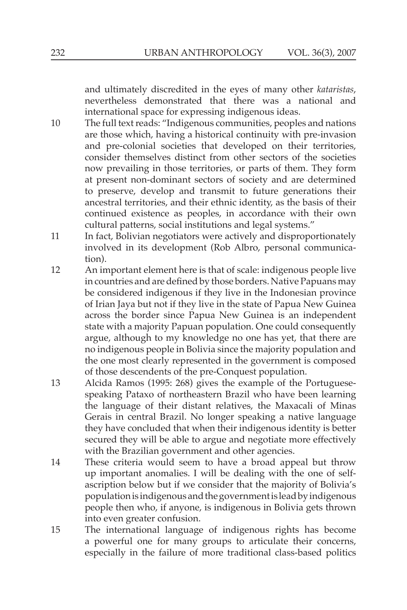and ultimately discredited in the eyes of many other *kataristas*, nevertheless demonstrated that there was a national and international space for expressing indigenous ideas.

- 10 The full text reads: "Indigenous communities, peoples and nations are those which, having a historical continuity with pre-invasion and pre-colonial societies that developed on their territories, consider themselves distinct from other sectors of the societies now prevailing in those territories, or parts of them. They form at present non-dominant sectors of society and are determined to preserve, develop and transmit to future generations their ancestral territories, and their ethnic identity, as the basis of their continued existence as peoples, in accordance with their own cultural patterns, social institutions and legal systems."
- 11 In fact, Bolivian negotiators were actively and disproportionately involved in its development (Rob Albro, personal communication).
- 12 An important element here is that of scale: indigenous people live in countries and are defined by those borders. Native Papuans may be considered indigenous if they live in the Indonesian province of Irian Jaya but not if they live in the state of Papua New Guinea across the border since Papua New Guinea is an independent state with a majority Papuan population. One could consequently argue, although to my knowledge no one has yet, that there are no indigenous people in Bolivia since the majority population and the one most clearly represented in the government is composed of those descendents of the pre-Conquest population.
- 13 Alcida Ramos (1995: 268) gives the example of the Portuguesespeaking Pataxo of northeastern Brazil who have been learning the language of their distant relatives, the Maxacali of Minas Gerais in central Brazil. No longer speaking a native language they have concluded that when their indigenous identity is better secured they will be able to argue and negotiate more effectively with the Brazilian government and other agencies.
- 14 These criteria would seem to have a broad appeal but throw up important anomalies. I will be dealing with the one of selfascription below but if we consider that the majority of Bolivia's population is indigenous and the government is lead by indigenous people then who, if anyone, is indigenous in Bolivia gets thrown into even greater confusion.
- 15 The international language of indigenous rights has become a powerful one for many groups to articulate their concerns, especially in the failure of more traditional class-based politics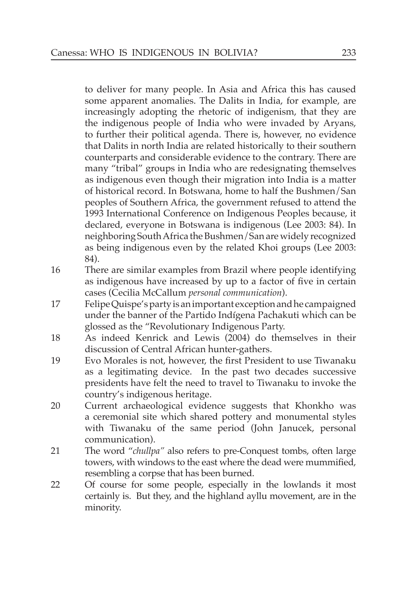to deliver for many people. In Asia and Africa this has caused some apparent anomalies. The Dalits in India, for example, are increasingly adopting the rhetoric of indigenism, that they are the indigenous people of India who were invaded by Aryans, to further their political agenda. There is, however, no evidence that Dalits in north India are related historically to their southern counterparts and considerable evidence to the contrary. There are many "tribal" groups in India who are redesignating themselves as indigenous even though their migration into India is a matter of historical record. In Botswana, home to half the Bushmen/San peoples of Southern Africa, the government refused to attend the 1993 International Conference on Indigenous Peoples because, it declared, everyone in Botswana is indigenous (Lee 2003: 84). In neighboring South Africa the Bushmen/San are widely recognized as being indigenous even by the related Khoi groups (Lee 2003: 84).

- 16 There are similar examples from Brazil where people identifying as indigenous have increased by up to a factor of five in certain cases (Cecilia McCallum *personal communication*).
- 17 Felipe Quispe's party is an important exception and he campaigned under the banner of the Partido Indígena Pachakuti which can be glossed as the "Revolutionary Indigenous Party.
- 18 As indeed Kenrick and Lewis (2004) do themselves in their discussion of Central African hunter-gathers.
- 19 Evo Morales is not, however, the first President to use Tiwanaku as a legitimating device. In the past two decades successive presidents have felt the need to travel to Tiwanaku to invoke the country's indigenous heritage.
- 20 Current archaeological evidence suggests that Khonkho was a ceremonial site which shared pottery and monumental styles with Tiwanaku of the same period (John Janucek, personal communication).
- 21 The word "*chullpa"* also refers to pre-Conquest tombs, often large towers, with windows to the east where the dead were mummified, resembling a corpse that has been burned.
- 22 Of course for some people, especially in the lowlands it most certainly is. But they, and the highland ayllu movement, are in the minority.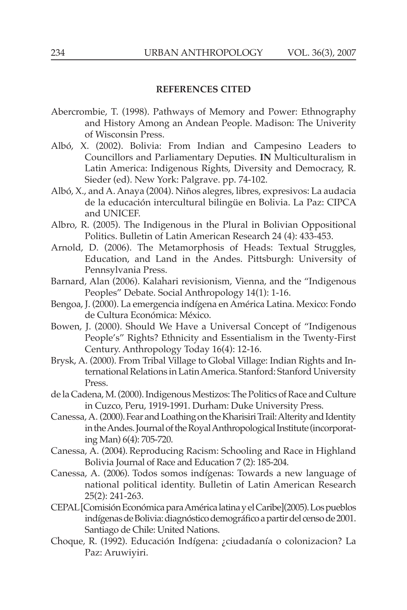#### **REFERENCES CITED**

- Abercrombie, T. (1998). Pathways of Memory and Power: Ethnography and History Among an Andean People. Madison: The Univerity of Wisconsin Press.
- Albó, X. (2002). Bolivia: From Indian and Campesino Leaders to Councillors and Parliamentary Deputies. **IN** Multiculturalism in Latin America: Indigenous Rights, Diversity and Democracy, R. Sieder (ed). New York: Palgrave. pp. 74-102.
- Albó, X., and A. Anaya (2004). Niños alegres, libres, expresivos: La audacia de la educación intercultural bilingüe en Bolivia. La Paz: CIPCA and UNICEF.
- Albro, R. (2005). The Indigenous in the Plural in Bolivian Oppositional Politics. Bulletin of Latin American Research 24 (4): 433-453.
- Arnold, D. (2006). The Metamorphosis of Heads: Textual Struggles, Education, and Land in the Andes. Pittsburgh: University of Pennsylvania Press.
- Barnard, Alan (2006). Kalahari revisionism, Vienna, and the "Indigenous Peoples" Debate. Social Anthropology 14(1): 1-16.
- Bengoa, J. (2000). La emergencia indígena en América Latina. Mexico: Fondo de Cultura Económica: México.
- Bowen, J. (2000). Should We Have a Universal Concept of "Indigenous People's" Rights? Ethnicity and Essentialism in the Twenty-First Century. Anthropology Today 16(4): 12-16.
- Brysk, A. (2000). From Tribal Village to Global Village: Indian Rights and International Relations in Latin America. Stanford: Stanford University Press.
- de la Cadena, M. (2000). Indigenous Mestizos: The Politics of Race and Culture in Cuzco, Peru, 1919-1991. Durham: Duke University Press.
- Canessa, A. (2000). Fear and Loathing on the Kharisiri Trail: Alterity and Identity in the Andes. Journal of the Royal Anthropological Institute (incorporating Man) 6(4): 705-720.
- Canessa, A. (2004). Reproducing Racism: Schooling and Race in Highland Bolivia Journal of Race and Education 7 (2): 185-204.
- Canessa, A. (2006). Todos somos indígenas: Towards a new language of national political identity. Bulletin of Latin American Research 25(2): 241-263.
- CEPAL [Comisión Económica para América latina y el Caribe](2005). Los pueblos indígenas de Bolivia: diagnóstico demográfico a partir del censo de 2001. Santiago de Chile: United Nations.
- Choque, R. (1992). Educación Indígena: ¿ciudadanía o colonizacion? La Paz: Aruwiyiri.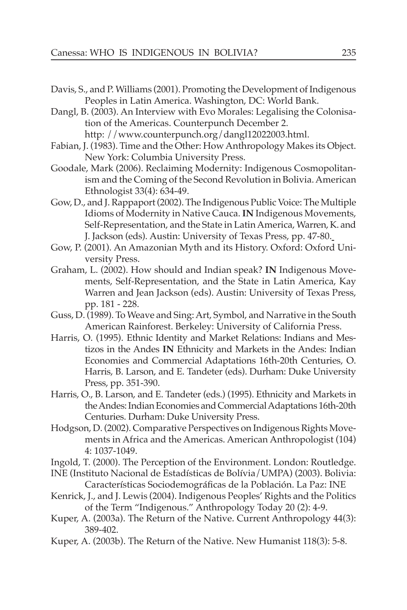- Davis, S., and P. Williams (2001). Promoting the Development of Indigenous Peoples in Latin America. Washington, DC: World Bank.
- Dangl, B. (2003). An Interview with Evo Morales: Legalising the Colonisation of the Americas. Counterpunch December 2.
- http: //www.counterpunch.org/dangl12022003.html. Fabian, J. (1983). Time and the Other: How Anthropology Makes its Object.
	- New York: Columbia University Press.
- Goodale, Mark (2006). Reclaiming Modernity: Indigenous Cosmopolitanism and the Coming of the Second Revolution in Bolivia. American Ethnologist 33(4): 634-49.
- Gow, D., and J. Rappaport (2002). The Indigenous Public Voice: The Multiple Idioms of Modernity in Native Cauca. **IN** Indigenous Movements, Self-Representation, and the State in Latin America, Warren, K. and J. Jackson (eds). Austin: University of Texas Press, pp. 47-80.
- Gow, P. (2001). An Amazonian Myth and its History. Oxford: Oxford University Press.
- Graham, L. (2002). How should and Indian speak? **IN** Indigenous Movements, Self-Representation, and the State in Latin America, Kay Warren and Jean Jackson (eds). Austin: University of Texas Press, pp. 181 - 228.
- Guss, D. (1989). To Weave and Sing: Art, Symbol, and Narrative in the South American Rainforest. Berkeley: University of California Press.
- Harris, O. (1995). Ethnic Identity and Market Relations: Indians and Mestizos in the Andes **IN** Ethnicity and Markets in the Andes: Indian Economies and Commercial Adaptations 16th-20th Centuries, O. Harris, B. Larson, and E. Tandeter (eds). Durham: Duke University Press, pp. 351-390.
- Harris, O., B. Larson, and E. Tandeter (eds.) (1995). Ethnicity and Markets in the Andes: Indian Economies and Commercial Adaptations 16th-20th Centuries. Durham: Duke University Press.
- Hodgson, D. (2002). Comparative Perspectives on Indigenous Rights Movements in Africa and the Americas. American Anthropologist (104) 4: 1037-1049.
- Ingold, T. (2000). The Perception of the Environment. London: Routledge.
- INE (Instituto Nacional de Estadísticas de Bolívia/UMPA) (2003). Bolivia: Características Sociodemográficas de la Población. La Paz: INE
- Kenrick, J., and J. Lewis (2004). Indigenous Peoples' Rights and the Politics of the Term "Indigenous." Anthropology Today 20 (2): 4-9.
- Kuper, A. (2003a). The Return of the Native. Current Anthropology 44(3): 389-402.
- Kuper, A. (2003b). The Return of the Native. New Humanist 118(3): 5-8.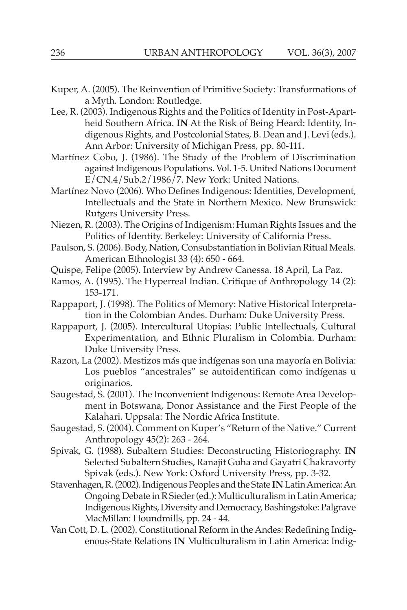- Kuper, A. (2005). The Reinvention of Primitive Society: Transformations of a Myth. London: Routledge.
- Lee, R. (2003). Indigenous Rights and the Politics of Identity in Post-Apartheid Southern Africa. **IN** At the Risk of Being Heard: Identity, Indigenous Rights, and Postcolonial States, B. Dean and J. Levi (eds.). Ann Arbor: University of Michigan Press, pp. 80-111.
- Martínez Cobo, J. (1986). The Study of the Problem of Discrimination against Indigenous Populations. Vol. 1-5. United Nations Document E/CN.4/Sub.2/1986/7. New York: United Nations.
- Martínez Novo (2006). Who Defines Indigenous: Identities, Development, Intellectuals and the State in Northern Mexico. New Brunswick: Rutgers University Press.
- Niezen, R. (2003). The Origins of Indigenism: Human Rights Issues and the Politics of Identity. Berkeley: University of California Press.
- Paulson, S. (2006). Body, Nation, Consubstantiation in Bolivian Ritual Meals. American Ethnologist 33 (4): 650 - 664.
- Quispe, Felipe (2005). Interview by Andrew Canessa. 18 April, La Paz.
- Ramos, A. (1995). The Hyperreal Indian. Critique of Anthropology 14 (2): 153-171.
- Rappaport, J. (1998). The Politics of Memory: Native Historical Interpretation in the Colombian Andes. Durham: Duke University Press.
- Rappaport, J. (2005). Intercultural Utopias: Public Intellectuals, Cultural Experimentation, and Ethnic Pluralism in Colombia. Durham: Duke University Press.
- Razon, La (2002). Mestizos más que indígenas son una mayoría en Bolivia: Los pueblos "ancestrales" se autoidentifican como indígenas u originarios.
- Saugestad, S. (2001). The Inconvenient Indigenous: Remote Area Development in Botswana, Donor Assistance and the First People of the Kalahari. Uppsala: The Nordic Africa Institute.
- Saugestad, S. (2004). Comment on Kuper's "Return of the Native." Current Anthropology 45(2): 263 - 264.
- Spivak, G. (1988). Subaltern Studies: Deconstructing Historiography. **IN** Selected Subaltern Studies, Ranajit Guha and Gayatri Chakravorty Spivak (eds.). New York: Oxford University Press, pp. 3-32.
- Stavenhagen, R. (2002). Indigenous Peoples and the State **IN** Latin America: An Ongoing Debate in R Sieder (ed.): Multiculturalism in Latin America; Indigenous Rights, Diversity and Democracy, Bashingstoke: Palgrave MacMillan: Houndmills, pp. 24 - 44.
- Van Cott, D. L. (2002). Constitutional Reform in the Andes: Redefining Indigenous-State Relations **IN** Multiculturalism in Latin America: Indig-